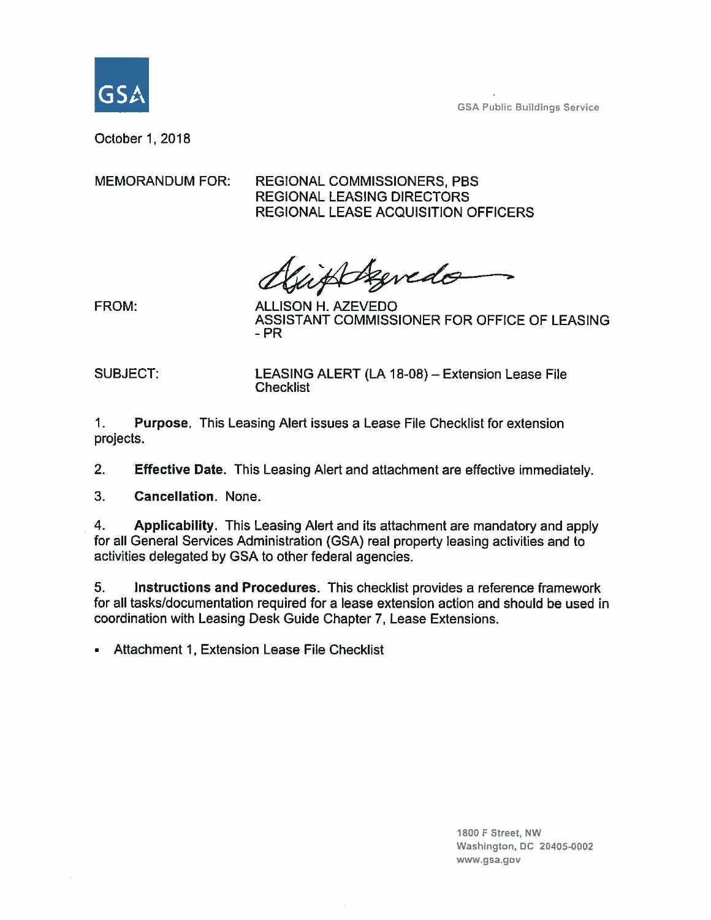

GSA Public Buildings Service

October 1, 2018

MEMORANDUM FOR: REGIONAL COMMISSIONERS, PBS REGIONAL LEASING DIRECTORS REGIONAL LEASE ACQUISITION OFFICERS

Agredo

FROM: ALLISON H. AZEVEDO ASSISTANT COMMISSIONER FOR OFFICE OF LEASING -PR

SUBJECT: LEASING ALERT (LA 18-08) - Extension Lease File **Checklist** 

1. **Purpose.** This Leasing Alert issues a Lease File Checklist for extension projects.

2. **Effective Date.** This Leasing Alert and attachment are effective immediately.

3. **Cancellation.** None.

4. **Applicability.** This Leasing Alert and its attachment are mandatory and apply for all General Services Administration (GSA) real property leasing activities and to activities delegated by GSA to other federal agencies.

5. **Instructions and Procedures.** This checklist provides a reference framework for all tasks/documentation required for a lease extension action and should be used in coordination with Leasing Desk Guide Chapter 7, Lease Extensions.

• Attachment 1, Extension Lease File Checklist